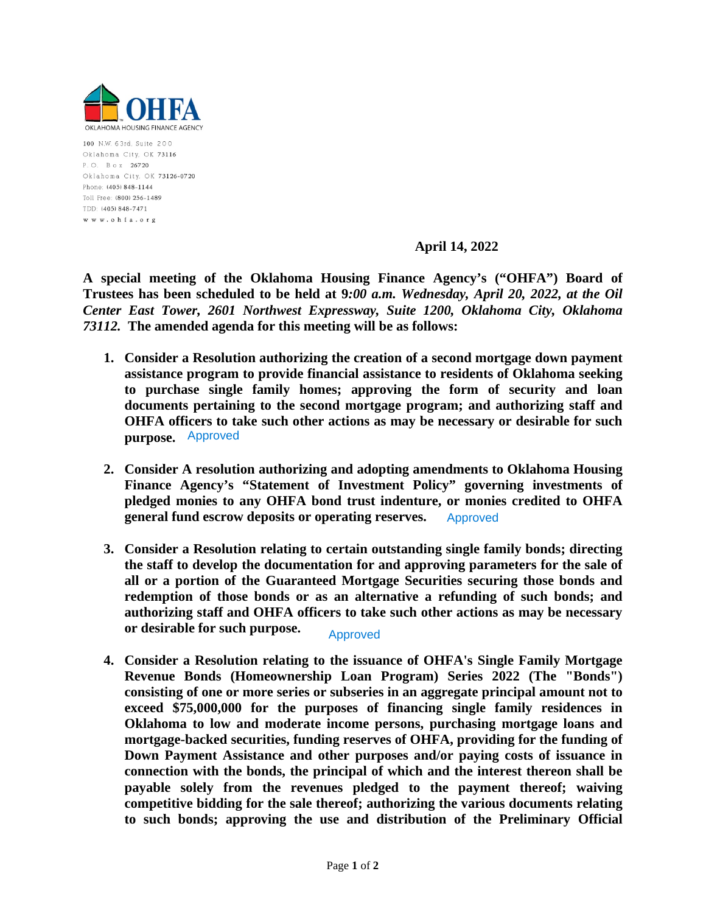

100 N.W. 63rd, Suite 200 Oklahoma City, OK 73116 P.O. Box 26720 Oklahoma City, OK 73126-0720 Phone: (405) 848-1144 Toll Free: (800) 256-1489 TDD: (405) 848-7471 www.ohfa.org

#### **April 14, 2022**

**A special meeting of the Oklahoma Housing Finance Agency's ("OHFA") Board of Trustees has been scheduled to be held at 9***:00 a.m. Wednesday, April 20, 2022, at the Oil Center East Tower, 2601 Northwest Expressway, Suite 1200, Oklahoma City, Oklahoma 73112.* **The amended agenda for this meeting will be as follows:**

- **1. Consider a Resolution authorizing the creation of a second mortgage down payment assistance program to provide financial assistance to residents of Oklahoma seeking to purchase single family homes; approving the form of security and loan documents pertaining to the second mortgage program; and authorizing staff and OHFA officers to take such other actions as may be necessary or desirable for such purpose.** Approved
- **2. Consider A resolution authorizing and adopting amendments to Oklahoma Housing Finance Agency's "Statement of Investment Policy" governing investments of pledged monies to any OHFA bond trust indenture, or monies credited to OHFA general fund escrow deposits or operating reserves.** Approved
- **3. Consider a Resolution relating to certain outstanding single family bonds; directing the staff to develop the documentation for and approving parameters for the sale of all or a portion of the Guaranteed Mortgage Securities securing those bonds and redemption of those bonds or as an alternative a refunding of such bonds; and authorizing staff and OHFA officers to take such other actions as may be necessary or desirable for such purpose.**

### Approved

**4. Consider a Resolution relating to the issuance of OHFA's Single Family Mortgage Revenue Bonds (Homeownership Loan Program) Series 2022 (The "Bonds") consisting of one or more series or subseries in an aggregate principal amount not to exceed \$75,000,000 for the purposes of financing single family residences in Oklahoma to low and moderate income persons, purchasing mortgage loans and mortgage-backed securities, funding reserves of OHFA, providing for the funding of Down Payment Assistance and other purposes and/or paying costs of issuance in connection with the bonds, the principal of which and the interest thereon shall be payable solely from the revenues pledged to the payment thereof; waiving competitive bidding for the sale thereof; authorizing the various documents relating to such bonds; approving the use and distribution of the Preliminary Official**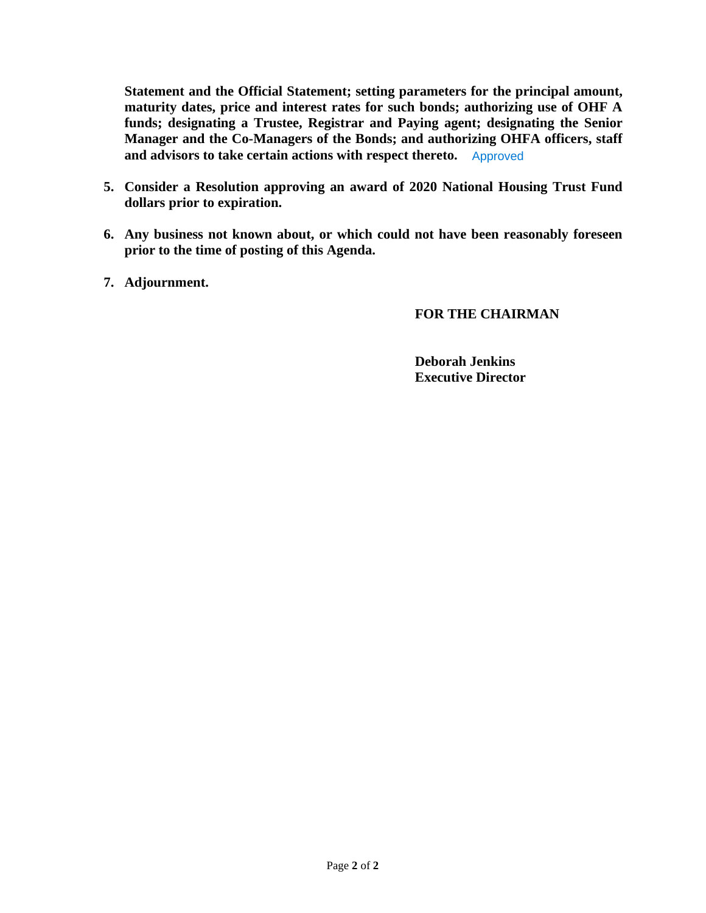**Statement and the Official Statement; setting parameters for the principal amount, maturity dates, price and interest rates for such bonds; authorizing use of OHF A funds; designating a Trustee, Registrar and Paying agent; designating the Senior Manager and the Co-Managers of the Bonds; and authorizing OHFA officers, staff and advisors to take certain actions with respect thereto.** Approved

- **5. Consider a Resolution approving an award of 2020 National Housing Trust Fund dollars prior to expiration.**
- **6. Any business not known about, or which could not have been reasonably foreseen prior to the time of posting of this Agenda.**
- **7. Adjournment.**

### **FOR THE CHAIRMAN**

**Deborah Jenkins Executive Director**